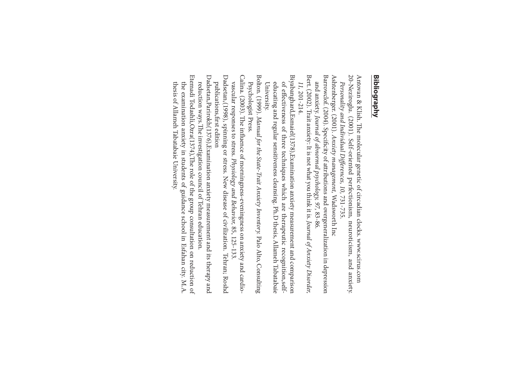## **Bibliography Bibliography**

Antovan & Klish. The molecular genetic of circadian clocks. www.scirus.com 20-Neziroglu. (2001). Self-oriented perfectionism, neuroticism, and anxiety. 20-Neziroglu. (2001). Self-oriented perfectionism, Antovan & Klish. The molecular genetic of circadian clocks. www.scirus.com Personality and Individual Differences, 10, 731-735. Personality and Individual Differences, 10, 731-735. neuroticism, and anxiety.

Ashtenberger. (2001). Anxiety management, Wadsworth Inc Ashtenberger. (2001). Anxiety management,Wadsworth Inc

Barrowclof. (2004). Specificity of attributions and overgeneralization in depression Barrowclof. (2004). Specicity of attributions and overgeneralization in depression and anxiety. Journal of abnormal psychology, 97,83-86.

Bert. (2002). Trait anxiety: It is not what you think it is.Bert. (2002). Trait anxiety: It is not what you think it is. Journal of Anxiety Disorder, Journal of Anxiety Disorder, 11, 201-214.

Biyabanghard,Esmaiel(1378),Examination anxiety measurement and comparison Biyabanghard,Esmaiel(1378),Examination anxiety measurement and comparison educating and regular sensitiveness cleansing. Ph.D thesis, Allameh Tabatabaie of effectiveness of three techniques which are therapeutic recognition,self-University. educating and regular sensitiveness cleansing. Ph.D thesis, Allameh Tabatabaie of eectiveness of three techniques which are therapeutic recognition,self-

Bolton. (1999). Manual for the State-Trait Anxiety Inventory. Palo Alto, Consulting Bolton. (1999).Psychologist Press. Psychologist Press. Manual for the State-Trait Anxiety Inventory.Palo Alto, Consulting

Calina. (2003). The influence of morningness-eveningness on anxiety and cardio-Calina. (2003). The influence of morningness-eveningness on anxiety and cardiovascular responses to stress. Physiology and Behavior, 85, 125-133 vascular responses to stress. Physiology and Behavior,85, 125-133.

Dadsetan, (1998), spinning or stress. New disease of civilization. Tehran; Roshd Dadsetan,(1998), spinning or stress. New disease of civilization. Tehran; Roshd publications, first edition publications,first edition

Dadsetan, Parirokh(1376), Examination anxiety measurement and its therapy and Dadsetan,Parirokh(1376),Examination anxiety measurement and its therapy and reduction ways. The investigation council of Tehran education. reduction ways. The investigation council of Tehran education.

Etemadi Todashli,Ozra(1374),The role of the group consultation on reduction of Etemadi Todashli,Ozra(1374),The role of the group consultation on reduction of the examination anxiety in students of guidance school in Esfahan city. M.A. thesis of Allameh Tabatabaie University.thesis of Allameh Tabatabaie University. the examination anxiety in students of guidance school in Esfahan city. M.A.